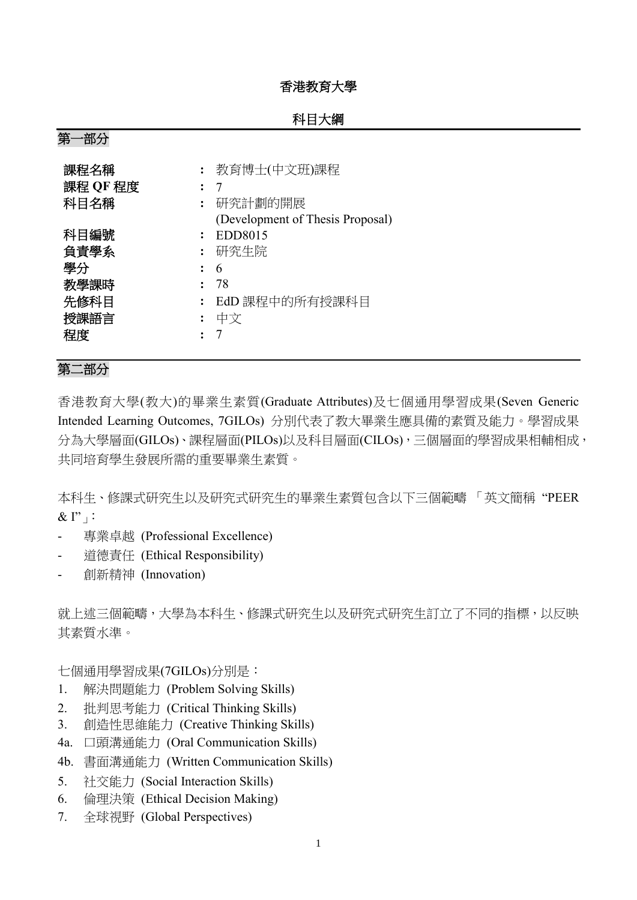## 香港教育大學

|  | 科目大綱 |
|--|------|
|  |      |

### 第一部分

| 課程名稱      | 教育博士(中文班)課程                      |
|-----------|----------------------------------|
| 課程 OF 程度  | 7                                |
| 科目名稱      | 研究計劃的開展                          |
|           | (Development of Thesis Proposal) |
| 科目編號      | EDD8015                          |
| 負責學系<br>፡ | 研究生院                             |
| 學分        | 6                                |
| 教學課時      | 78                               |
| 先修科目      | EdD 課程中的所有授課科目                   |
| 授課語言      | 中文                               |
| 程度        |                                  |

### 第二部分

香港教育大學(教大)的畢業生素質(Graduate Attributes)及七個通用學習成果(Seven Generic Intended Learning Outcomes, 7GILOs) 分別代表了教大畢業生應具備的素質及能力。學習成果 分為大學層面(GILOs)、課程層面(PILOs)以及科目層面(CILOs),三個層面的學習成果相輔相成, 共同培育學生發展所需的重要畢業生素質。

本科生、修課式研究生以及研究式研究生的畢業生素質包含以下三個範疇 「英文簡稱 "PEER  $& \Gamma$ " |:

- 專業卓越 (Professional Excellence)
- 道德責任 (Ethical Responsibility)
- 創新精神 (Innovation)

就上述三個範疇,大學為本科生、修課式研究生以及研究式研究生訂立了不同的指標,以反映 其素質水準。

七個通用學習成果(7GILOs)分別是:

- 1. 解決問題能力 (Problem Solving Skills)
- 2. 批判思考能力 (Critical Thinking Skills)
- 3. 創造性思維能力 (Creative Thinking Skills)
- 4a. 口頭溝通能力 (Oral Communication Skills)
- 4b. 書面溝通能力 (Written Communication Skills)
- 5. 社交能力 (Social Interaction Skills)
- 6. 倫理決策 (Ethical Decision Making)
- 7. 全球視野 (Global Perspectives)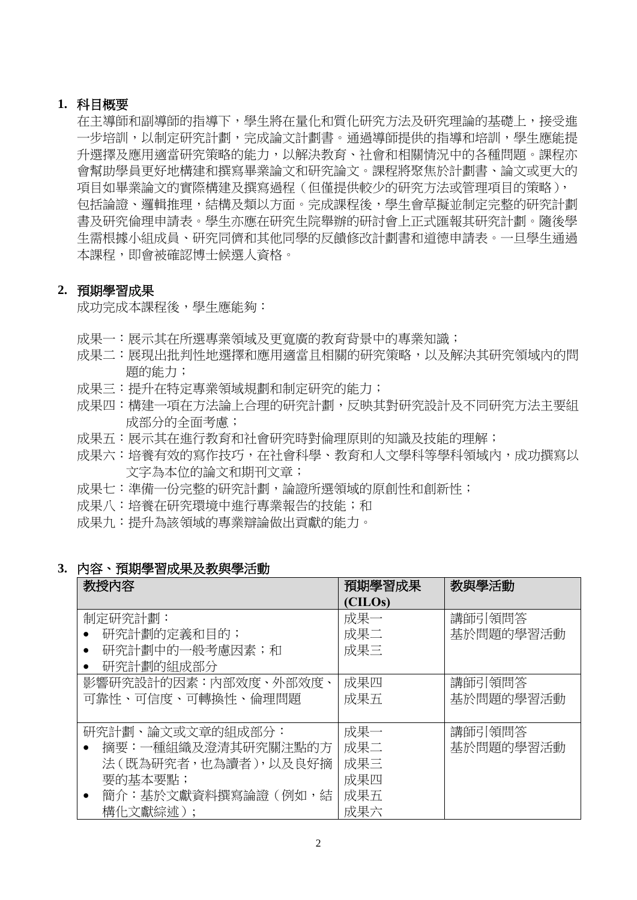### **1.** 科目概要

在主導師和副導師的指導下,學生將在量化和質化研究方法及研究理論的基礎上,接受進 一步培訓,以制定研究計劃,完成論文計劃書。通過導師提供的指導和培訓,學生應能提 升選擇及應用適當研究策略的能力,以解決教育、社會和相關情況中的各種問題。課程亦 會幫助學員更好地構建和撰寫畢業論文和研究論文。課程將聚焦於計劃書、論文或更大的 項目如畢業論文的實際構建及撰寫過程(但僅提供較少的研究方法或管理項目的策略), 包括論證、邏輯推理,結構及類以方面。完成課程後,學生會草擬並制定完整的研究計劃 書及研究倫理申請表。學生亦應在研究生院舉辦的研討會上正式匯報其研究計劃。隨後學 生需根據小組成員、研究同儕和其他同學的反饋修改計劃書和道德申請表。一旦學生通過 本課程,即會被確認博士候選人資格。

#### **2.** 預期學習成果

成功完成本課程後,學生應能夠:

- 成果一:展示其在所選專業領域及更寬廣的教育背景中的專業知識;
- 成果二:展現出批判性地選擇和應用適當且相關的研究策略,以及解決其研究領域內的問 題的能力;
- 成果三:提升在特定專業領域規劃和制定研究的能力;
- 成果四:構建一項在方法論上合理的研究計劃,反映其對研究設計及不同研究方法主要組 成部分的全面考慮;
- 成果五:展示其在進行教育和社會研究時對倫理原則的知識及技能的理解;
- 成果六:培養有效的寫作技巧,在社會科學、教育和人文學科等學科領域內,成功撰寫以 文字為本位的論文和期刊文章;
- 成果七:準備一份完整的研究計劃,論證所選領域的原創性和創新性;
- 成果八:培養在研究環境中進行專業報告的技能;和
- 成果九:提升為該領域的專業辯論做出貢獻的能力。

#### **3.** 內容、預期學習成果及教與學活動

| 教授内容                            | 預期學習成果  | 教與學活動     |
|---------------------------------|---------|-----------|
|                                 | (CILOs) |           |
| 制定研究計劃:                         | 成果一     | 講師引領問答    |
| 研究計劃的定義和目的;                     | 成果二     | 基於問題的學習活動 |
| 研究計劃中的一般考慮因素;和<br>$\bullet$     | 成果三     |           |
| 研究計劃的組成部分                       |         |           |
| 影響研究設計的因素:内部效度、外部效度、            | 成果四     | 講師引領問答    |
| 可靠性、可信度、可轉換性、倫理問題               | 成果五     | 基於問題的學習活動 |
|                                 |         |           |
| 研究計劃、論文或文章的組成部分:                | 成果一     | 講師引領問答    |
| 摘要:一種組織及澄清其研究關注點的方<br>$\bullet$ | 成果二     | 基於問題的學習活動 |
| 法 ( 既為研究者, 也為讀者 ), 以及良好摘        | 成果三     |           |
| 要的基本要點;                         | 成果四     |           |
| 簡介:基於文獻資料撰寫論證(例如,結<br>$\bullet$ | 成果五     |           |
| 構化文獻綜述);                        | 成果六     |           |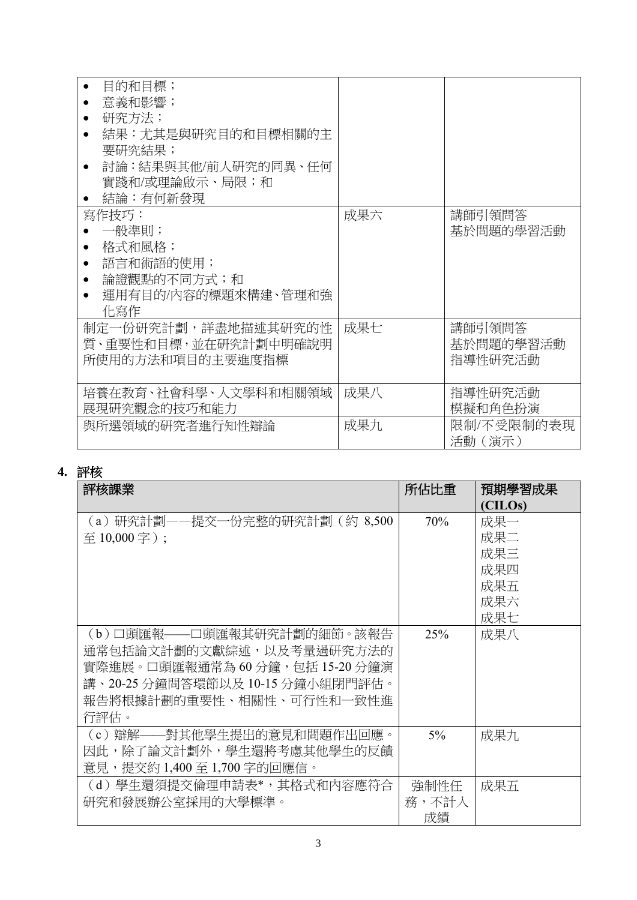| 目的和目標;<br>意義和影響;<br>٠<br>研究方法;<br>結果:尤其是與研究目的和目標相關的主<br>要研究結果;<br>討論:結果與其他/前人研究的同異、任何<br>實踐和/或理論啟示、局限;和<br>結論:有何新發現 |     |                                |
|---------------------------------------------------------------------------------------------------------------------|-----|--------------------------------|
| 寫作技巧:<br>一般準則;<br>格式和風格;<br>語言和術語的使用;<br>論證觀點的不同方式;和<br>$\bullet$<br>運用有目的/内容的標題來構建、管理和強<br>化寫作                     | 成果六 | 講師引領問答<br>基於問題的學習活動            |
| 制定一份研究計劃,詳盡地描述其研究的性<br>質、重要性和目標,並在研究計劃中明確說明<br>所使用的方法和項目的主要進度指標                                                     | 成果七 | 講師引領問答<br>基於問題的學習活動<br>指導性研究活動 |
| 培養在教育、社會科學、人文學科和相關領域<br>展現研究觀念的技巧和能力                                                                                | 成果八 | 指導性研究活動<br>模擬和角色扮演             |
| 與所選領域的研究者進行知性辯論                                                                                                     | 成果九 | 限制/不受限制的表現<br>活動(演示)           |

# **4.** 評核

| 評核課業                             | 所佔比重  | 預期學習成果  |
|----------------------------------|-------|---------|
|                                  |       | (CILOs) |
| (a)研究計劃——提交一份完整的研究計劃(約 8,500     | 70%   | 成果一     |
| 至 10,000字);                      |       | 成果二     |
|                                  |       | 成果三     |
|                                  |       | 成果四     |
|                                  |       | 成果五     |
|                                  |       | 成果六     |
|                                  |       | 成果七     |
| (b)口頭匯報——口頭匯報其研究計劃的細節。該報告        | 25%   | 成果八     |
| 通常包括論文計劃的文獻綜述,以及考量過研究方法的         |       |         |
| 實際進展。口頭匯報通常為 60 分鐘,包括 15-20 分鐘演  |       |         |
| 講、20-25 分鐘問答環節以及 10-15 分鐘小組閉門評估。 |       |         |
| 報告將根據計劃的重要性、相關性、可行性和一致性進         |       |         |
| 行評估。                             |       |         |
| (c)辯解——對其他學生提出的意見和問題作出回應。        | $5\%$ | 成果九     |
| 因此,除了論文計劃外,學生還將考慮其他學生的反饋         |       |         |
| 意見,提交約 1,400 至 1,700 字的回應信。      |       |         |
| (d)學生還須提交倫理申請表*,其格式和內容應符合        | 強制性任  | 成果五     |
| 研究和發展辦公室採用的大學標準。                 | 務,不計入 |         |
|                                  | 成績    |         |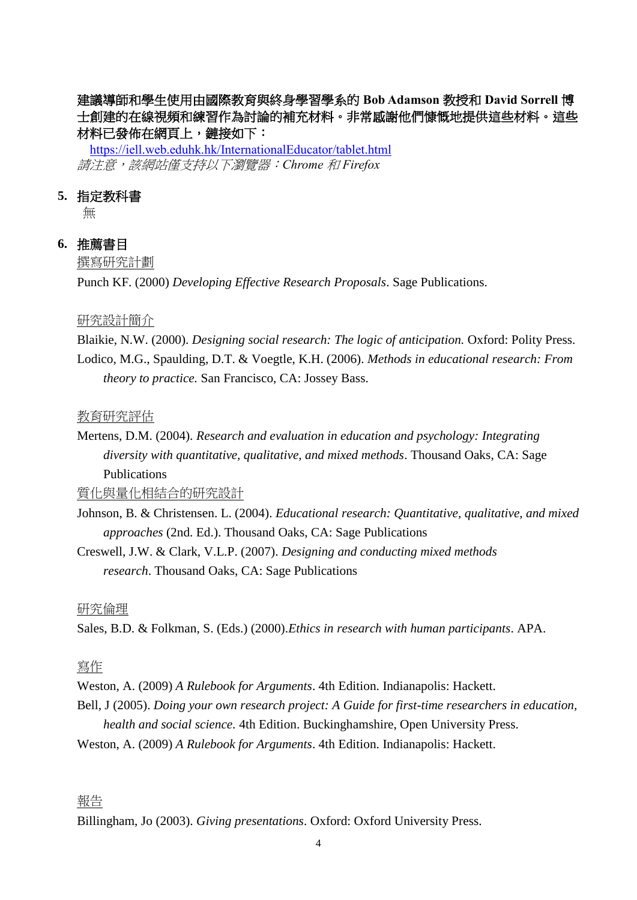## 建議導師和學生使用由國際教育與終身學習學系的 **Bob Adamson** 教授和 **David Sorrell** 博 士創建的在線視頻和練習作為討論的補充材料。非常感謝他們慷慨地提供這些材料。這些 材料已發佈在網頁上,鏈接如下:

 <https://iell.web.eduhk.hk/InternationalEducator/tablet.html> 請注意,該網站僅支持以下瀏覽器:*Chrome* 和 *Firefox*

### **5.** 指定教科書

無

### **6.** 推薦書目

撰寫研究計劃

Punch KF. (2000) *Developing Effective Research Proposals*. Sage Publications.

#### 研究設計簡介

Blaikie, N.W. (2000). *Designing social research: The logic of anticipation.* Oxford: Polity Press. Lodico, M.G., Spaulding, D.T. & Voegtle, K.H. (2006). *Methods in educational research: From theory to practice.* San Francisco, CA: Jossey Bass.

#### 教育研究評估

Mertens, D.M. (2004). *Research and evaluation in education and psychology: Integrating diversity with quantitative, qualitative, and mixed methods*. Thousand Oaks, CA: Sage Publications

質化與量化相結合的研究設計

- Johnson, B. & Christensen. L. (2004). *Educational research: Quantitative, qualitative, and mixed approaches* (2nd. Ed.). Thousand Oaks, CA: Sage Publications
- Creswell, J.W. & Clark, V.L.P. (2007). *Designing and conducting mixed methods research*. Thousand Oaks, CA: Sage Publications

#### 研究倫理

Sales, B.D. & Folkman, S. (Eds.) (2000).*Ethics in research with human participants*. APA.

## 寫作

Weston, A. (2009) *A Rulebook for Arguments*. 4th Edition. Indianapolis: Hackett.

Bell, J (2005). *Doing your own research project: A Guide for first-time researchers in education, health and social science.* 4th Edition. Buckinghamshire, Open University Press.

Weston, A. (2009) *A Rulebook for Arguments*. 4th Edition. Indianapolis: Hackett.

### 報告

Billingham, Jo (2003). *Giving presentations*. Oxford: Oxford University Press.